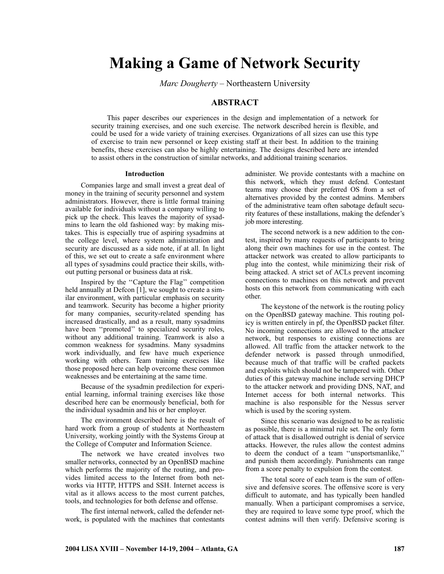# **Making a Game of Network Security**

*Marc Dougherty* – Northeastern University

# **ABSTRACT**

This paper describes our experiences in the design and implementation of a network for security training exercises, and one such exercise. The network described herein is flexible, and could be used for a wide variety of training exercises. Organizations of all sizes can use this type of exercise to train new personnel or keep existing staff at their best. In addition to the training benefits, these exercises can also be highly entertaining. The designs described here are intended to assist others in the construction of similar networks, and additional training scenarios.

#### **Introduction**

Companies large and small invest a great deal of money in the training of security personnel and system administrators. However, there is little formal training available for individuals without a company willing to pick up the check. This leaves the majority of sysadmins to learn the old fashioned way: by making mistakes. This is especially true of aspiring sysadmins at the college level, where system administration and security are discussed as a side note, if at all. In light of this, we set out to create a safe environment where all types of sysadmins could practice their skills, without putting personal or business data at risk.

Inspired by the ''Capture the Flag'' competition held annually at Defcon [1], we sought to create a similar environment, with particular emphasis on security and teamwork. Security has become a higher priority for many companies, security-related spending has increased drastically, and as a result, many sysadmins have been ''promoted'' to specialized security roles, without any additional training. Teamwork is also a common weakness for sysadmins. Many sysadmins work individually, and few have much experience working with others. Team training exercises like those proposed here can help overcome these common weaknesses and be entertaining at the same time.

Because of the sysadmin predilection for experiential learning, informal training exercises like those described here can be enormously beneficial, both for the individual sysadmin and his or her employer.

The environment described here is the result of hard work from a group of students at Northeastern University, working jointly with the Systems Group at the College of Computer and Information Science.

The network we have created involves two smaller networks, connected by an OpenBSD machine which performs the majority of the routing, and provides limited access to the Internet from both networks via HTTP, HTTPS and SSH. Internet access is vital as it allows access to the most current patches, tools, and technologies for both defense and offense.

The first internal network, called the defender network, is populated with the machines that contestants

administer. We provide contestants with a machine on this network, which they must defend. Contestant teams may choose their preferred OS from a set of alternatives provided by the contest admins. Members of the administrative team often sabotage default security features of these installations, making the defender's job more interesting.

The second network is a new addition to the contest, inspired by many requests of participants to bring along their own machines for use in the contest. The attacker network was created to allow participants to plug into the contest, while minimizing their risk of being attacked. A strict set of ACLs prevent incoming connections to machines on this network and prevent hosts on this network from communicating with each other.

The keystone of the network is the routing policy on the OpenBSD gateway machine. This routing policy is written entirely in pf, the OpenBSD packet filter. No incoming connections are allowed to the attacker network, but responses to existing connections are allowed. All traffic from the attacker network to the defender network is passed through unmodified, because much of that traffic will be crafted packets and exploits which should not be tampered with. Other duties of this gateway machine include serving DHCP to the attacker network and providing DNS, NAT, and Internet access for both internal networks. This machine is also responsible for the Nessus server which is used by the scoring system.

Since this scenario was designed to be as realistic as possible, there is a minimal rule set. The only form of attack that is disallowed outright is denial of service attacks. However, the rules allow the contest admins to deem the conduct of a team ''unsportsmanlike,'' and punish them accordingly. Punishments can range from a score penalty to expulsion from the contest.

The total score of each team is the sum of offensive and defensive scores. The offensive score is very difficult to automate, and has typically been handled manually. When a participant compromises a service, they are required to leave some type proof, which the contest admins will then verify. Defensive scoring is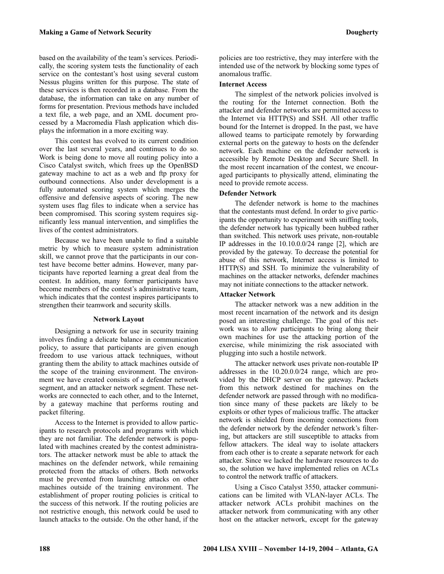based on the availability of the team's services. Periodically, the scoring system tests the functionality of each service on the contestant's host using several custom Nessus plugins written for this purpose. The state of these services is then recorded in a database. From the database, the information can take on any number of forms for presentation. Previous methods have included a text file, a web page, and an XML document processed by a Macromedia Flash application which displays the information in a more exciting way.

This contest has evolved to its current condition over the last several years, and continues to do so. Work is being done to move all routing policy into a Cisco Catalyst switch, which frees up the OpenBSD gateway machine to act as a web and ftp proxy for outbound connections. Also under development is a fully automated scoring system which merges the offensive and defensive aspects of scoring. The new system uses flag files to indicate when a service has been compromised. This scoring system requires significantly less manual intervention, and simplifies the lives of the contest administrators.

Because we have been unable to find a suitable metric by which to measure system administration skill, we cannot prove that the participants in our contest have become better admins. However, many participants have reported learning a great deal from the contest. In addition, many former participants have become members of the contest's administrative team, which indicates that the contest inspires participants to strengthen their teamwork and security skills.

#### **Network Layout**

Designing a network for use in security training involves finding a delicate balance in communication policy, to assure that participants are given enough freedom to use various attack techniques, without granting them the ability to attack machines outside of the scope of the training environment. The environment we have created consists of a defender network segment, and an attacker network segment. These networks are connected to each other, and to the Internet, by a gateway machine that performs routing and packet filtering.

Access to the Internet is provided to allow participants to research protocols and programs with which they are not familiar. The defender network is populated with machines created by the contest administrators. The attacker network must be able to attack the machines on the defender network, while remaining protected from the attacks of others. Both networks must be prevented from launching attacks on other machines outside of the training environment. The establishment of proper routing policies is critical to the success of this network. If the routing policies are not restrictive enough, this network could be used to launch attacks to the outside. On the other hand, if the policies are too restrictive, they may interfere with the intended use of the network by blocking some types of anomalous traffic.

# **Internet Access**

The simplest of the network policies involved is the routing for the Internet connection. Both the attacker and defender networks are permitted access to the Internet via HTTP(S) and SSH. All other traffic bound for the Internet is dropped. In the past, we have allowed teams to participate remotely by forwarding external ports on the gateway to hosts on the defender network. Each machine on the defender network is accessible by Remote Desktop and Secure Shell. In the most recent incarnation of the contest, we encouraged participants to physically attend, eliminating the need to provide remote access.

# **Defender Network**

The defender network is home to the machines that the contestants must defend. In order to give participants the opportunity to experiment with sniffing tools, the defender network has typically been hubbed rather than switched. This network uses private, non-routable IP addresses in the 10.10.0.0/24 range [2], which are provided by the gateway. To decrease the potential for abuse of this network, Internet access is limited to HTTP(S) and SSH. To minimize the vulnerability of machines on the attacker networks, defender machines may not initiate connections to the attacker network.

# **Attacker Network**

The attacker network was a new addition in the most recent incarnation of the network and its design posed an interesting challenge. The goal of this network was to allow participants to bring along their own machines for use the attacking portion of the exercise, while minimizing the risk associated with plugging into such a hostile network.

The attacker network uses private non-routable IP addresses in the 10.20.0.0/24 range, which are provided by the DHCP server on the gateway. Packets from this network destined for machines on the defender network are passed through with no modification since many of these packets are likely to be exploits or other types of malicious traffic. The attacker network is shielded from incoming connections from the defender network by the defender network's filtering, but attackers are still susceptible to attacks from fellow attackers. The ideal way to isolate attackers from each other is to create a separate network for each attacker. Since we lacked the hardware resources to do so, the solution we have implemented relies on ACLs to control the network traffic of attackers.

Using a Cisco Catalyst 3550, attacker communications can be limited with VLAN-layer ACLs. The attacker network ACLs prohibit machines on the attacker network from communicating with any other host on the attacker network, except for the gateway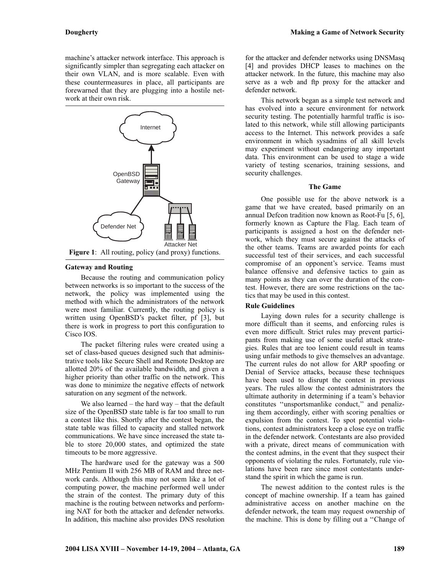machine's attacker network interface. This approach is significantly simpler than segregating each attacker on their own VLAN, and is more scalable. Even with these countermeasures in place, all participants are forewarned that they are plugging into a hostile network at their own risk.



#### **Gateway and Routing**

Because the routing and communication policy between networks is so important to the success of the network, the policy was implemented using the method with which the administrators of the network were most familiar. Currently, the routing policy is written using OpenBSD's packet filter, pf [3], but there is work in progress to port this configuration to Cisco IOS.

The packet filtering rules were created using a set of class-based queues designed such that administrative tools like Secure Shell and Remote Desktop are allotted 20% of the available bandwidth, and given a higher priority than other traffic on the network. This was done to minimize the negative effects of network saturation on any segment of the network.

We also learned – the hard way – that the default size of the OpenBSD state table is far too small to run a contest like this. Shortly after the contest began, the state table was filled to capacity and stalled network communications. We have since increased the state table to store 20,000 states, and optimized the state timeouts to be more aggressive.

The hardware used for the gateway was a 500 MHz Pentium II with 256 MB of RAM and three network cards. Although this may not seem like a lot of computing power, the machine performed well under the strain of the contest. The primary duty of this machine is the routing between networks and performing NAT for both the attacker and defender networks. In addition, this machine also provides DNS resolution

for the attacker and defender networks using DNSMasq [4] and provides DHCP leases to machines on the attacker network. In the future, this machine may also serve as a web and ftp proxy for the attacker and defender network.

This network began as a simple test network and has evolved into a secure environment for network security testing. The potentially harmful traffic is isolated to this network, while still allowing participants access to the Internet. This network provides a safe environment in which sysadmins of all skill levels may experiment without endangering any important data. This environment can be used to stage a wide variety of testing scenarios, training sessions, and security challenges.

### **The Game**

One possible use for the above network is a game that we have created, based primarily on an annual Defcon tradition now known as Root-Fu [5, 6], formerly known as Capture the Flag. Each team of participants is assigned a host on the defender network, which they must secure against the attacks of the other teams. Teams are awarded points for each successful test of their services, and each successful compromise of an opponent's service. Teams must balance offensive and defensive tactics to gain as many points as they can over the duration of the contest. However, there are some restrictions on the tactics that may be used in this contest.

#### **Rule Guidelines**

Laying down rules for a security challenge is more difficult than it seems, and enforcing rules is even more difficult. Strict rules may prevent participants from making use of some useful attack strategies. Rules that are too lenient could result in teams using unfair methods to give themselves an advantage. The current rules do not allow for ARP spoofing or Denial of Service attacks, because these techniques have been used to disrupt the contest in previous years. The rules allow the contest administrators the ultimate authority in determining if a team's behavior constitutes ''unsportsmanlike conduct,'' and penalizing them accordingly, either with scoring penalties or expulsion from the contest. To spot potential violations, contest administrators keep a close eye on traffic in the defender network. Contestants are also provided with a private, direct means of communication with the contest admins, in the event that they suspect their opponents of violating the rules. Fortunately, rule violations have been rare since most contestants understand the spirit in which the game is run.

The newest addition to the contest rules is the concept of machine ownership. If a team has gained administrative access on another machine on the defender network, the team may request ownership of the machine. This is done by filling out a ''Change of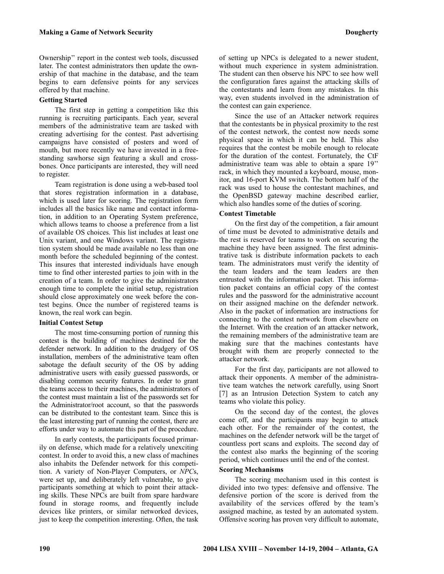Ownership'' report in the contest web tools, discussed later. The contest administrators then update the ownership of that machine in the database, and the team begins to earn defensive points for any services offered by that machine.

# **Getting Started**

The first step in getting a competition like this running is recruiting participants. Each year, several members of the administrative team are tasked with creating advertising for the contest. Past advertising campaigns have consisted of posters and word of mouth, but more recently we have invested in a freestanding sawhorse sign featuring a skull and crossbones. Once participants are interested, they will need to register.

Team registration is done using a web-based tool that stores registration information in a database, which is used later for scoring. The registration form includes all the basics like name and contact information, in addition to an Operating System preference, which allows teams to choose a preference from a list of available OS choices. This list includes at least one Unix variant, and one Windows variant. The registration system should be made available no less than one month before the scheduled beginning of the contest. This insures that interested individuals have enough time to find other interested parties to join with in the creation of a team. In order to give the administrators enough time to complete the initial setup, registration should close approximately one week before the contest begins. Once the number of registered teams is known, the real work can begin.

# **Initial Contest Setup**

The most time-consuming portion of running this contest is the building of machines destined for the defender network. In addition to the drudgery of OS installation, members of the administrative team often sabotage the default security of the OS by adding administrative users with easily guessed passwords, or disabling common security features. In order to grant the teams access to their machines, the administrators of the contest must maintain a list of the passwords set for the Administrator/root account, so that the passwords can be distributed to the contestant team. Since this is the least interesting part of running the contest, there are efforts under way to automate this part of the procedure.

In early contests, the participants focused primarily on defense, which made for a relatively unexciting contest. In order to avoid this, a new class of machines also inhabits the Defender network for this competition. A variety of Non-Player Computers, or *NPC*s, were set up, and deliberately left vulnerable, to give participants something at which to point their attacking skills. These NPCs are built from spare hardware found in storage rooms, and frequently include devices like printers, or similar networked devices, just to keep the competition interesting. Often, the task of setting up NPCs is delegated to a newer student, without much experience in system administration. The student can then observe his NPC to see how well the configuration fares against the attacking skills of the contestants and learn from any mistakes. In this way, even students involved in the administration of the contest can gain experience.

Since the use of an Attacker network requires that the contestants be in physical proximity to the rest of the contest network, the contest now needs some physical space in which it can be held. This also requires that the contest be mobile enough to relocate for the duration of the contest. Fortunately, the CtF administrative team was able to obtain a spare 19'' rack, in which they mounted a keyboard, mouse, monitor, and 16-port KVM switch. The bottom half of the rack was used to house the contestant machines, and the OpenBSD gateway machine described earlier, which also handles some of the duties of scoring.

# **Contest Timetable**

On the first day of the competition, a fair amount of time must be devoted to administrative details and the rest is reserved for teams to work on securing the machine they have been assigned. The first administrative task is distribute information packets to each team. The administrators must verify the identity of the team leaders and the team leaders are then entrusted with the information packet. This information packet contains an official copy of the contest rules and the password for the administrative account on their assigned machine on the defender network. Also in the packet of information are instructions for connecting to the contest network from elsewhere on the Internet. With the creation of an attacker network, the remaining members of the administrative team are making sure that the machines contestants have brought with them are properly connected to the attacker network.

For the first day, participants are not allowed to attack their opponents. A member of the administrative team watches the network carefully, using Snort [7] as an Intrusion Detection System to catch any teams who violate this policy.

On the second day of the contest, the gloves come off, and the participants may begin to attack each other. For the remainder of the contest, the machines on the defender network will be the target of countless port scans and exploits. The second day of the contest also marks the beginning of the scoring period, which continues until the end of the contest.

#### **Scoring Mechanisms**

The scoring mechanism used in this contest is divided into two types: defensive and offensive. The defensive portion of the score is derived from the availability of the services offered by the team's assigned machine, as tested by an automated system. Offensive scoring has proven very difficult to automate,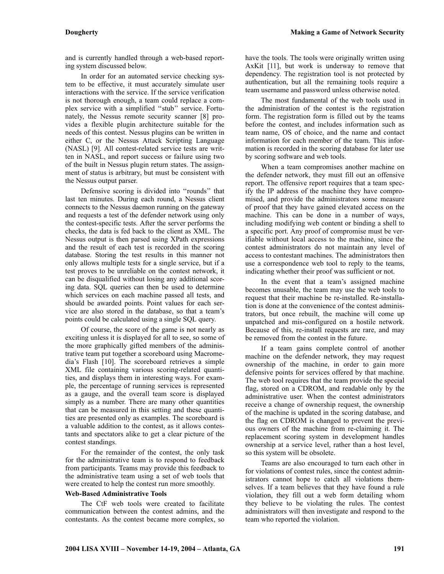and is currently handled through a web-based reporting system discussed below.

In order for an automated service checking system to be effective, it must accurately simulate user interactions with the service. If the service verification is not thorough enough, a team could replace a complex service with a simplified ''stub'' service. Fortunately, the Nessus remote security scanner [8] provides a flexible plugin architecture suitable for the needs of this contest. Nessus plugins can be written in either C, or the Nessus Attack Scripting Language (NASL) [9]. All contest-related service tests are written in NASL, and report success or failure using two of the built in Nessus plugin return states. The assignment of status is arbitrary, but must be consistent with the Nessus output parser.

Defensive scoring is divided into ''rounds'' that last ten minutes. During each round, a Nessus client connects to the Nessus daemon running on the gateway and requests a test of the defender network using only the contest-specific tests. After the server performs the checks, the data is fed back to the client as XML. The Nessus output is then parsed using XPath expressions and the result of each test is recorded in the scoring database. Storing the test results in this manner not only allows multiple tests for a single service, but if a test proves to be unreliable on the contest network, it can be disqualified without losing any additional scoring data. SQL queries can then be used to determine which services on each machine passed all tests, and should be awarded points. Point values for each service are also stored in the database, so that a team's points could be calculated using a single SQL query.

Of course, the score of the game is not nearly as exciting unless it is displayed for all to see, so some of the more graphically gifted members of the administrative team put together a scoreboard using Macromedia's Flash [10]. The scoreboard retrieves a simple XML file containing various scoring-related quantities, and displays them in interesting ways. For example, the percentage of running services is represented as a gauge, and the overall team score is displayed simply as a number. There are many other quantities that can be measured in this setting and these quantities are presented only as examples. The scoreboard is a valuable addition to the contest, as it allows contestants and spectators alike to get a clear picture of the contest standings.

For the remainder of the contest, the only task for the administrative team is to respond to feedback from participants. Teams may provide this feedback to the administrative team using a set of web tools that were created to help the contest run more smoothly.

#### **Web-Based Administrative Tools**

The CtF web tools were created to facilitate communication between the contest admins, and the contestants. As the contest became more complex, so have the tools. The tools were originally written using AxKit [11], but work is underway to remove that dependency. The registration tool is not protected by authentication, but all the remaining tools require a team username and password unless otherwise noted.

The most fundamental of the web tools used in the administration of the contest is the registration form. The registration form is filled out by the teams before the contest, and includes information such as team name, OS of choice, and the name and contact information for each member of the team. This information is recorded in the scoring database for later use by scoring software and web tools.

When a team compromises another machine on the defender network, they must fill out an offensive report. The offensive report requires that a team specify the IP address of the machine they have compromised, and provide the administrators some measure of proof that they have gained elevated access on the machine. This can be done in a number of ways, including modifying web content or binding a shell to a specific port. Any proof of compromise must be verifiable without local access to the machine, since the contest administrators do not maintain any level of access to contestant machines. The administrators then use a correspondence web tool to reply to the teams, indicating whether their proof was sufficient or not.

In the event that a team's assigned machine becomes unusable, the team may use the web tools to request that their machine be re-installed. Re-installation is done at the convenience of the contest administrators, but once rebuilt, the machine will come up unpatched and mis-configured on a hostile network. Because of this, re-install requests are rare, and may be removed from the contest in the future.

If a team gains complete control of another machine on the defender network, they may request ownership of the machine, in order to gain more defensive points for services offered by that machine. The web tool requires that the team provide the special flag, stored on a CDROM, and readable only by the administrative user. When the contest administrators receive a change of ownership request, the ownership of the machine is updated in the scoring database, and the flag on CDROM is changed to prevent the previous owners of the machine from re-claiming it. The replacement scoring system in development handles ownership at a service level, rather than a host level, so this system will be obsolete.

Teams are also encouraged to turn each other in for violations of contest rules, since the contest administrators cannot hope to catch all violations themselves. If a team believes that they have found a rule violation, they fill out a web form detailing whom they believe to be violating the rules. The contest administrators will then investigate and respond to the team who reported the violation.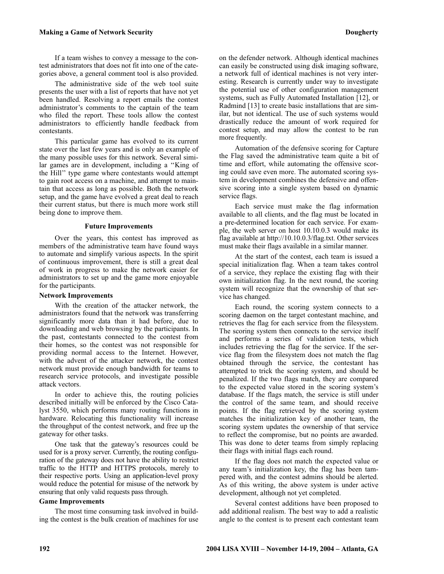### **Making a Game of Network Security Dougherty**

If a team wishes to convey a message to the contest administrators that does not fit into one of the categories above, a general comment tool is also provided.

The administrative side of the web tool suite presents the user with a list of reports that have not yet been handled. Resolving a report emails the contest administrator 's comments to the captain of the team who filed the report. These tools allow the contest administrators to efficiently handle feedback from contestants.

This particular game has evolved to its current state over the last few years and is only an example of the many possible uses for this network. Several similar games are in development, including a ''King of the Hill'' type game where contestants would attempt to gain root access on a machine, and attempt to maintain that access as long as possible. Both the network setup, and the game have evolved a great deal to reach their current status, but there is much more work still being done to improve them.

#### **Future Improvements**

Over the years, this contest has improved as members of the administrative team have found ways to automate and simplify various aspects. In the spirit of continuous improvement, there is still a great deal of work in progress to make the network easier for administrators to set up and the game more enjoyable for the participants.

### **Network Improvements**

With the creation of the attacker network, the administrators found that the network was transferring significantly more data than it had before, due to downloading and web browsing by the participants. In the past, contestants connected to the contest from their homes, so the contest was not responsible for providing normal access to the Internet. However, with the advent of the attacker network, the contest network must provide enough bandwidth for teams to research service protocols, and investigate possible attack vectors.

In order to achieve this, the routing policies described initially will be enforced by the Cisco Catalyst 3550, which performs many routing functions in hardware. Relocating this functionality will increase the throughput of the contest network, and free up the gateway for other tasks.

One task that the gateway's resources could be used for is a proxy server. Currently, the routing configuration of the gateway does not have the ability to restrict traffic to the HTTP and HTTPS protocols, merely to their respective ports. Using an application-level proxy would reduce the potential for misuse of the network by ensuring that only valid requests pass through.

#### **Game Improvements**

The most time consuming task involved in building the contest is the bulk creation of machines for use on the defender network. Although identical machines can easily be constructed using disk imaging software, a network full of identical machines is not very interesting. Research is currently under way to investigate the potential use of other configuration management systems, such as Fully Automated Installation [12], or Radmind [13] to create basic installations that are similar, but not identical. The use of such systems would drastically reduce the amount of work required for contest setup, and may allow the contest to be run more frequently.

Automation of the defensive scoring for Capture the Flag saved the administrative team quite a bit of time and effort, while automating the offensive scoring could save even more. The automated scoring system in development combines the defensive and offensive scoring into a single system based on dynamic service flags.

Each service must make the flag information available to all clients, and the flag must be located in a pre-determined location for each service. For example, the web server on host 10.10.0.3 would make its flag available at http://10.10.0.3/flag.txt. Other services must make their flags available in a similar manner.

At the start of the contest, each team is issued a special initialization flag. When a team takes control of a service, they replace the existing flag with their own initialization flag. In the next round, the scoring system will recognize that the ownership of that service has changed.

Each round, the scoring system connects to a scoring daemon on the target contestant machine, and retrieves the flag for each service from the filesystem. The scoring system then connects to the service itself and performs a series of validation tests, which includes retrieving the flag for the service. If the service flag from the filesystem does not match the flag obtained through the service, the contestant has attempted to trick the scoring system, and should be penalized. If the two flags match, they are compared to the expected value stored in the scoring system's database. If the flags match, the service is still under the control of the same team, and should receive points. If the flag retrieved by the scoring system matches the initialization key of another team, the scoring system updates the ownership of that service to reflect the compromise, but no points are awarded. This was done to deter teams from simply replacing their flags with initial flags each round.

If the flag does not match the expected value or any team's initialization key, the flag has been tampered with, and the contest admins should be alerted. As of this writing, the above system is under active development, although not yet completed.

Several contest additions have been proposed to add additional realism. The best way to add a realistic angle to the contest is to present each contestant team